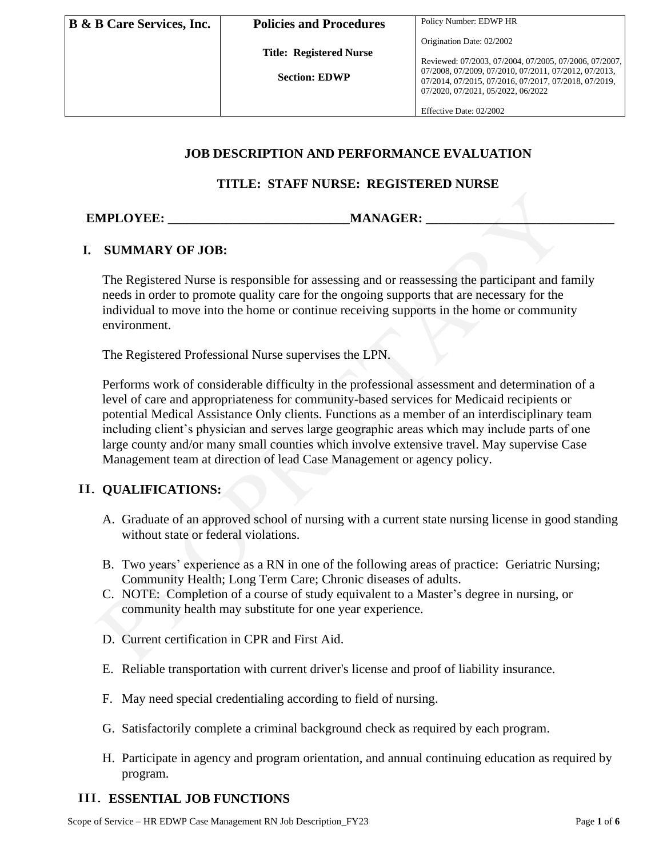**Title: Registered Nurse**

 **Section: EDWP**

Origination Date: 02/2002

Reviewed: 07/2003, 07/2004, 07/2005, 07/2006, 07/2007, 07/2008, 07/2009, 07/2010, 07/2011, 07/2012, 07/2013, 07/2014, 07/2015, 07/2016, 07/2017, 07/2018, 07/2019, 07/2020, 07/2021, 05/2022, 06/2022

Effective Date: 02/2002

#### **JOB DESCRIPTION AND PERFORMANCE EVALUATION**

#### **TITLE: STAFF NURSE: REGISTERED NURSE**

**EMPLOYEE: MANAGER:** 

### **I. SUMMARY OF JOB:**

The Registered Nurse is responsible for assessing and or reassessing the participant and family needs in order to promote quality care for the ongoing supports that are necessary for the individual to move into the home or continue receiving supports in the home or community environment.

The Registered Professional Nurse supervises the LPN.

PROPRIETARY Performs work of considerable difficulty in the professional assessment and determination of a level of care and appropriateness for community-based services for Medicaid recipients or potential Medical Assistance Only clients. Functions as a member of an interdisciplinary team including client's physician and serves large geographic areas which may include parts of one large county and/or many small counties which involve extensive travel. May supervise Case Management team at direction of lead Case Management or agency policy.

### II. **QUALIFICATIONS:**

- A. Graduate of an approved school of nursing with a current state nursing license in good standing without state or federal violations.
- B. Two years' experience as a RN in one of the following areas of practice: Geriatric Nursing; Community Health; Long Term Care; Chronic diseases of adults.
- C. NOTE: Completion of a course of study equivalent to a Master's degree in nursing, or community health may substitute for one year experience.
- D. Current certification in CPR and First Aid.
- E. Reliable transportation with current driver's license and proof of liability insurance.
- F. May need special credentialing according to field of nursing.
- G. Satisfactorily complete a criminal background check as required by each program.
- H. Participate in agency and program orientation, and annual continuing education as required by program.

### III. **ESSENTIAL JOB FUNCTIONS**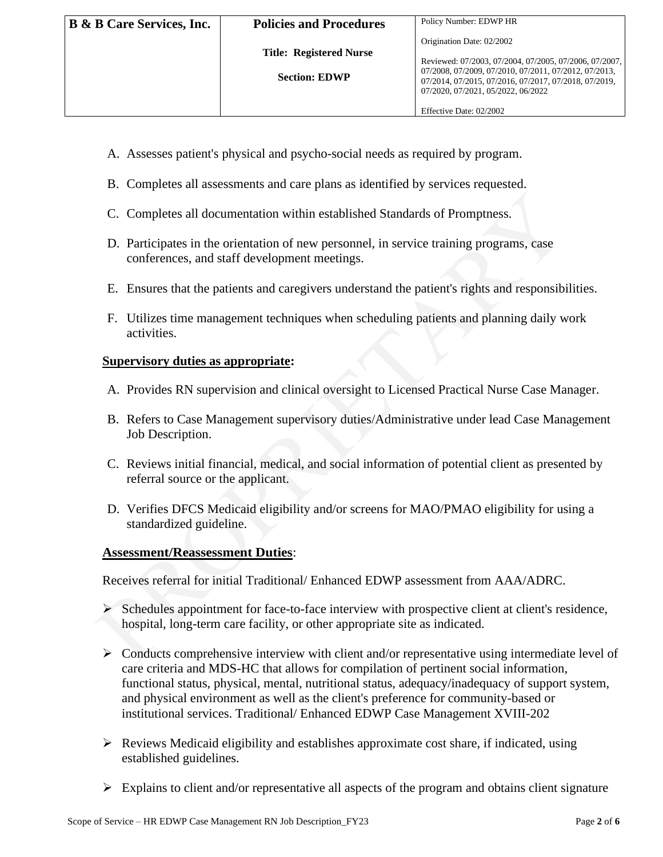- A. Assesses patient's physical and psycho-social needs as required by program.
- B. Completes all assessments and care plans as identified by services requested.
- C. Completes all documentation within established Standards of Promptness.
- D. Participates in the orientation of new personnel, in service training programs, case conferences, and staff development meetings.
- E. Ensures that the patients and caregivers understand the patient's rights and responsibilities.
- F. Utilizes time management techniques when scheduling patients and planning daily work activities.

### **Supervisory duties as appropriate:**

- A. Provides RN supervision and clinical oversight to Licensed Practical Nurse Case Manager.
- B. Refers to Case Management supervisory duties/Administrative under lead Case Management Job Description.
- C. Reviews initial financial, medical, and social information of potential client as presented by referral source or the applicant.
- D. Verifies DFCS Medicaid eligibility and/or screens for MAO/PMAO eligibility for using a standardized guideline.

### **Assessment/Reassessment Duties**:

Receives referral for initial Traditional/ Enhanced EDWP assessment from AAA/ADRC.

- C. Completes all documentation within established Standards of Promptness.<br>
D. Participates in the orientation of new personnel, in service training programs, case<br>
conferences, and staff development meetings.<br>
E. Ensures  $\triangleright$  Schedules appointment for face-to-face interview with prospective client at client's residence, hospital, long-term care facility, or other appropriate site as indicated.
- $\triangleright$  Conducts comprehensive interview with client and/or representative using intermediate level of care criteria and MDS-HC that allows for compilation of pertinent social information, functional status, physical, mental, nutritional status, adequacy/inadequacy of support system, and physical environment as well as the client's preference for community-based or institutional services. Traditional/ Enhanced EDWP Case Management XVIII-202
- ➢ Reviews Medicaid eligibility and establishes approximate cost share, if indicated, using established guidelines.
- $\triangleright$  Explains to client and/or representative all aspects of the program and obtains client signature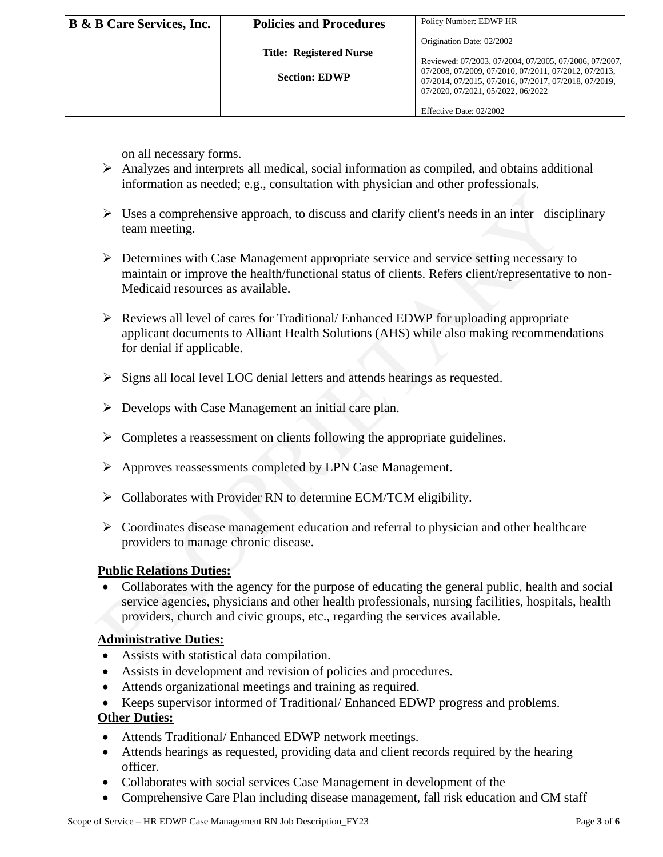| <b>B &amp; B Care Services, Inc.</b> | <b>Policies and Procedures</b> | Policy Number: EDWP HR                                                                                         |
|--------------------------------------|--------------------------------|----------------------------------------------------------------------------------------------------------------|
|                                      |                                | Origination Date: 02/2002                                                                                      |
|                                      | <b>Title: Registered Nurse</b> | Reviewed: 07/2003, 07/2004, 07/2005, 07/2006, 07/2007,                                                         |
|                                      | <b>Section: EDWP</b>           | 07/2008, 07/2009, 07/2010, 07/2011, 07/2012, 07/2013,<br>07/2014, 07/2015, 07/2016, 07/2017, 07/2018, 07/2019, |
|                                      |                                | 07/2020, 07/2021, 05/2022, 06/2022                                                                             |
|                                      |                                | Effective Date: 02/2002                                                                                        |

on all necessary forms.

- $\triangleright$  Analyzes and interprets all medical, social information as compiled, and obtains additional information as needed; e.g., consultation with physician and other professionals.
- $\triangleright$  Uses a comprehensive approach, to discuss and clarify client's needs in an inter disciplinary team meeting.
- ➢ Determines with Case Management appropriate service and service setting necessary to maintain or improve the health/functional status of clients. Refers client/representative to non-Medicaid resources as available.
- best a comprehensive approach, to discuss and clarify client's needs in an inter disci<br>
team meeting.<br>
<br>
⇒ Determines with Case Management appropriate service and service setting necessary<br>
maintain or improve the healt ➢ Reviews all level of cares for Traditional/ Enhanced EDWP for uploading appropriate applicant documents to Alliant Health Solutions (AHS) while also making recommendations for denial if applicable.
	- ➢ Signs all local level LOC denial letters and attends hearings as requested.
- $\triangleright$  Develops with Case Management an initial care plan.
- $\triangleright$  Completes a reassessment on clients following the appropriate guidelines.
- ➢ Approves reassessments completed by LPN Case Management.
- ➢ Collaborates with Provider RN to determine ECM/TCM eligibility.
- ➢ Coordinates disease management education and referral to physician and other healthcare providers to manage chronic disease.

### **Public Relations Duties:**

• Collaborates with the agency for the purpose of educating the general public, health and social service agencies, physicians and other health professionals, nursing facilities, hospitals, health providers, church and civic groups, etc., regarding the services available.

### **Administrative Duties:**

- Assists with statistical data compilation.
- Assists in development and revision of policies and procedures.
- Attends organizational meetings and training as required.
- Keeps supervisor informed of Traditional/ Enhanced EDWP progress and problems.

# **Other Duties:**

- Attends Traditional/ Enhanced EDWP network meetings.
- Attends hearings as requested, providing data and client records required by the hearing officer.
- Collaborates with social services Case Management in development of the
- Comprehensive Care Plan including disease management, fall risk education and CM staff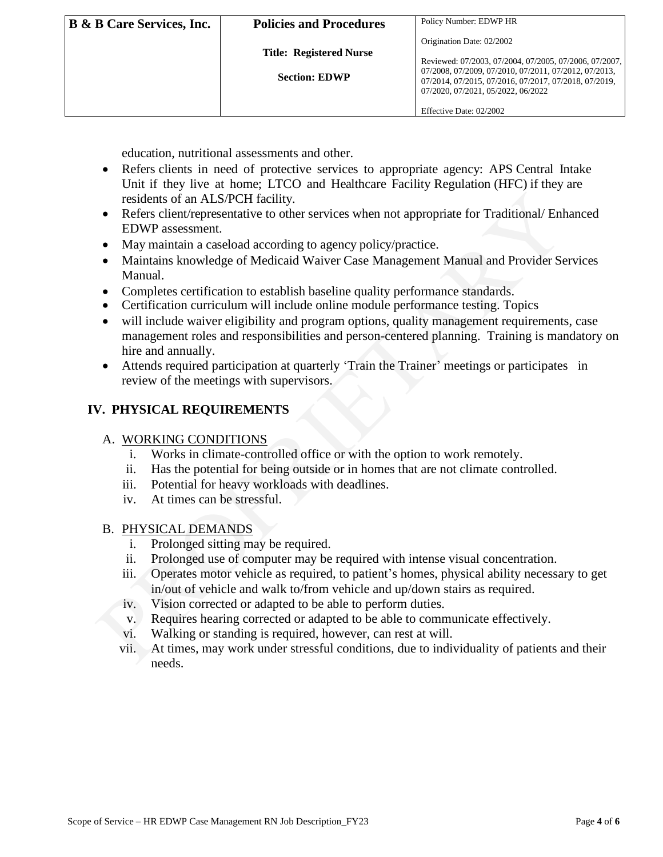| <b>B &amp; B Care Services, Inc.</b> | <b>Policies and Procedures</b>                         | Policy Number: EDWP HR                                                                                                                                                                                                                      |
|--------------------------------------|--------------------------------------------------------|---------------------------------------------------------------------------------------------------------------------------------------------------------------------------------------------------------------------------------------------|
|                                      | <b>Title: Registered Nurse</b><br><b>Section: EDWP</b> | Origination Date: 02/2002<br>Reviewed: 07/2003, 07/2004, 07/2005, 07/2006, 07/2007,<br>07/2008, 07/2009, 07/2010, 07/2011, 07/2012, 07/2013,<br>07/2014, 07/2015, 07/2016, 07/2017, 07/2018, 07/2019,<br>07/2020, 07/2021, 05/2022, 06/2022 |
|                                      |                                                        | Effective Date: 02/2002                                                                                                                                                                                                                     |

education, nutritional assessments and other.

- Refers clients in need of protective services to appropriate agency: APS Central Intake Unit if they live at home; LTCO and Healthcare Facility Regulation (HFC) if they are residents of an ALS/PCH facility.
- Refers client/representative to other services when not appropriate for Traditional/ Enhanced EDWP assessment.
- May maintain a caseload according to agency policy/practice.
- Maintains knowledge of Medicaid Waiver Case Management Manual and Provider Services Manual.
- Completes certification to establish baseline quality performance standards.
- Certification curriculum will include online module performance testing. Topics
- residents of an ALS/PCH facility.<br>
Nefers client/serialities to other services when not appropriate for Traditional/ Enh<br>
EDWP assessment.<br>
 May maintain a caseload according to agency policy/practice.<br>
 Mainuals and Pr • will include waiver eligibility and program options, quality management requirements, case management roles and responsibilities and person-centered planning. Training is mandatory on hire and annually.
	- Attends required participation at quarterly 'Train the Trainer' meetings or participates in review of the meetings with supervisors.

### **IV. PHYSICAL REQUIREMENTS**

- A. WORKING CONDITIONS
	- i. Works in climate-controlled office or with the option to work remotely.
	- ii. Has the potential for being outside or in homes that are not climate controlled.
	- iii. Potential for heavy workloads with deadlines.
	- iv. At times can be stressful.

#### B. PHYSICAL DEMANDS

- i. Prolonged sitting may be required.
- ii. Prolonged use of computer may be required with intense visual concentration.
- iii. Operates motor vehicle as required, to patient's homes, physical ability necessary to get in/out of vehicle and walk to/from vehicle and up/down stairs as required.
- iv. Vision corrected or adapted to be able to perform duties.
- v. Requires hearing corrected or adapted to be able to communicate effectively.
- vi. Walking or standing is required, however, can rest at will.
- vii. At times, may work under stressful conditions, due to individuality of patients and their needs.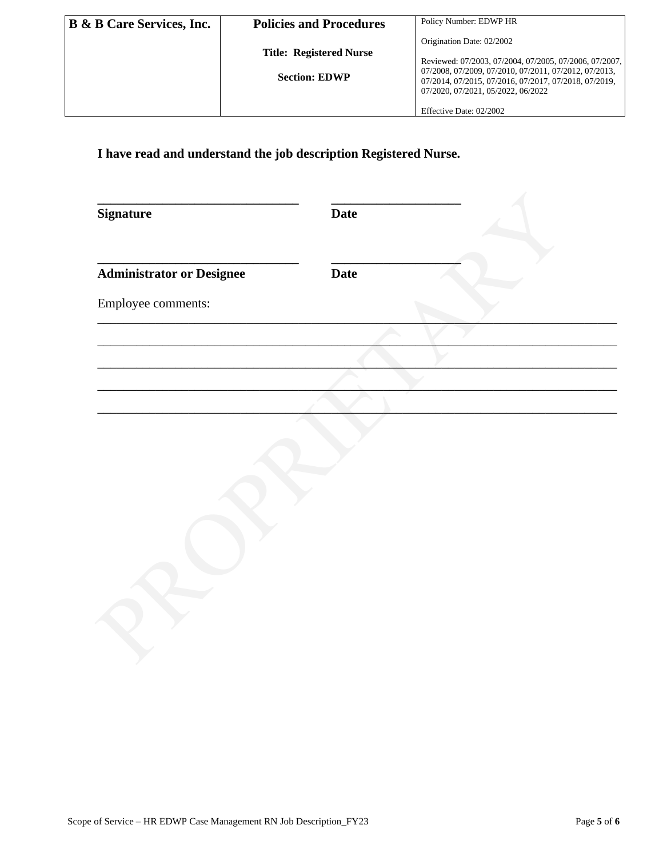| <b>B &amp; B Care Services, Inc.</b> | <b>Policies and Procedures</b> | Policy Number: EDWP HR                                                                                                                               |
|--------------------------------------|--------------------------------|------------------------------------------------------------------------------------------------------------------------------------------------------|
|                                      | <b>Title: Registered Nurse</b> | Origination Date: 02/2002                                                                                                                            |
|                                      |                                | Reviewed: 07/2003, 07/2004, 07/2005, 07/2006, 07/2007,                                                                                               |
|                                      | <b>Section: EDWP</b>           | 07/2008, 07/2009, 07/2010, 07/2011, 07/2012, 07/2013,<br>07/2014, 07/2015, 07/2016, 07/2017, 07/2018, 07/2019,<br>07/2020, 07/2021, 05/2022, 06/2022 |
|                                      |                                | Effective Date: 02/2002                                                                                                                              |

**I have read and understand the job description Registered Nurse.**

| <b>Signature</b>                 | <b>Date</b> |  |
|----------------------------------|-------------|--|
| <b>Administrator or Designee</b> | <b>Date</b> |  |
| Employee comments:               |             |  |
|                                  |             |  |
|                                  |             |  |
|                                  |             |  |
|                                  |             |  |
|                                  |             |  |
|                                  |             |  |